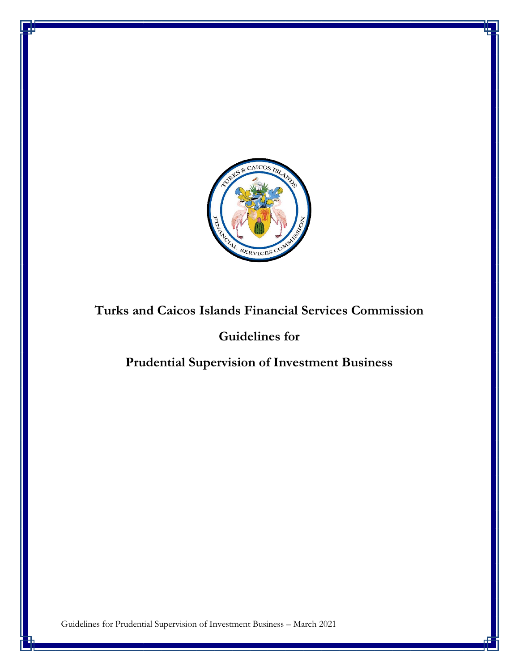

# **Turks and Caicos Islands Financial Services Commission**

## **Guidelines for**

# **Prudential Supervision of Investment Business**

Guidelines for Prudential Supervision of Investment Business – March 2021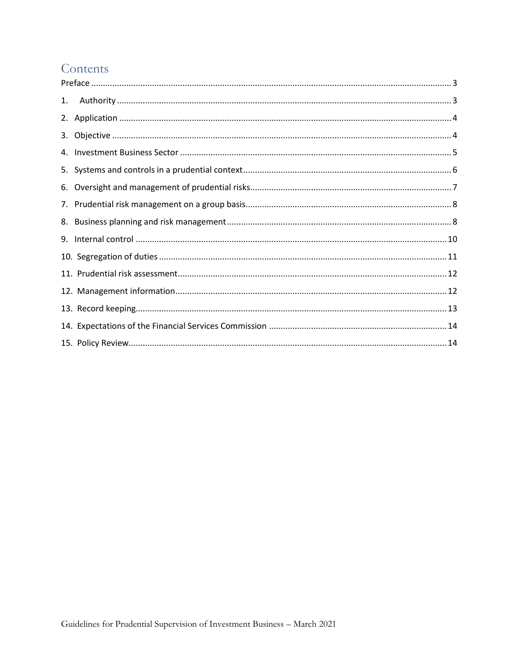# Contents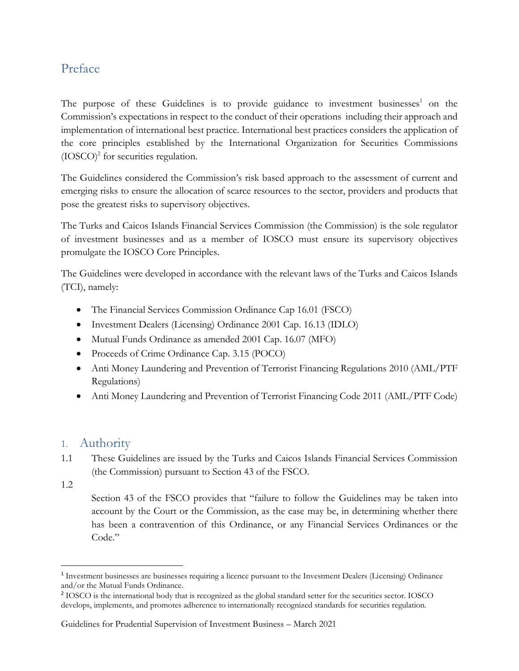### <span id="page-2-0"></span>Preface

The purpose of these Guidelines is to provide guidance to investment businesses<sup>1</sup> on the Commission's expectations in respect to the conduct of their operations including their approach and implementation of international best practice. International best practices considers the application of the core principles established by the International Organization for Securities Commissions  $(IOSCO)^2$  for securities regulation.

The Guidelines considered the Commission's risk based approach to the assessment of current and emerging risks to ensure the allocation of scarce resources to the sector, providers and products that pose the greatest risks to supervisory objectives.

The Turks and Caicos Islands Financial Services Commission (the Commission) is the sole regulator of investment businesses and as a member of IOSCO must ensure its supervisory objectives promulgate the IOSCO Core Principles.

The Guidelines were developed in accordance with the relevant laws of the Turks and Caicos Islands (TCI), namely:

- The Financial Services Commission Ordinance Cap 16.01 (FSCO)
- Investment Dealers (Licensing) Ordinance 2001 Cap. 16.13 (IDLO)
- Mutual Funds Ordinance as amended 2001 Cap. 16.07 (MFO)
- Proceeds of Crime Ordinance Cap. 3.15 (POCO)
- Anti Money Laundering and Prevention of Terrorist Financing Regulations 2010 (AML/PTF Regulations)
- Anti Money Laundering and Prevention of Terrorist Financing Code 2011 (AML/PTF Code)

#### <span id="page-2-1"></span>1. Authority

- 1.1 These Guidelines are issued by the Turks and Caicos Islands Financial Services Commission (the Commission) pursuant to Section 43 of the FSCO.
- 1.2

Section 43 of the FSCO provides that "failure to follow the Guidelines may be taken into account by the Court or the Commission, as the case may be, in determining whether there has been a contravention of this Ordinance, or any Financial Services Ordinances or the Code."

<sup>&</sup>lt;sup>1</sup> Investment businesses are businesses requiring a licence pursuant to the Investment Dealers (Licensing) Ordinance and/or the Mutual Funds Ordinance.

<sup>&</sup>lt;sup>2</sup> IOSCO is the international body that is recognized as the global standard setter for the securities sector. IOSCO develops, implements, and promotes adherence to internationally recognized standards for securities regulation.

Guidelines for Prudential Supervision of Investment Business – March 2021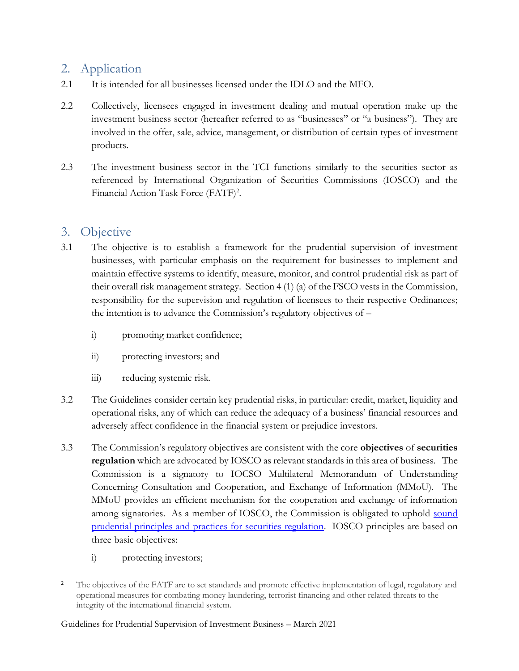## <span id="page-3-0"></span>2. Application

- 2.1 It is intended for all businesses licensed under the IDLO and the MFO.
- 2.2 Collectively, licensees engaged in investment dealing and mutual operation make up the investment business sector (hereafter referred to as "businesses" or "a business"). They are involved in the offer, sale, advice, management, or distribution of certain types of investment products.
- 2.3 The investment business sector in the TCI functions similarly to the securities sector as referenced by International Organization of Securities Commissions (IOSCO) and the Financial Action Task Force (FATF)<sup>2</sup>.

## <span id="page-3-1"></span>3. Objective

- 3.1 The objective is to establish a framework for the prudential supervision of investment businesses, with particular emphasis on the requirement for businesses to implement and maintain effective systems to identify, measure, monitor, and control prudential risk as part of their overall risk management strategy. Section 4 (1) (a) of the FSCO vests in the Commission, responsibility for the supervision and regulation of licensees to their respective Ordinances; the intention is to advance the Commission's regulatory objectives of –
	- i) promoting market confidence;
	- ii) protecting investors; and
	- iii) reducing systemic risk.
- 3.2 The Guidelines consider certain key prudential risks, in particular: credit, market, liquidity and operational risks, any of which can reduce the adequacy of a business' financial resources and adversely affect confidence in the financial system or prejudice investors.
- 3.3 The Commission's regulatory objectives are consistent with the core **objectives** of **securities regulation** which are advocated by IOSCO as relevant standards in this area of business. The Commission is a signatory to IOCSO Multilateral Memorandum of Understanding Concerning Consultation and Cooperation, and Exchange of Information (MMoU). The MMoU provides an efficient mechanism for the cooperation and exchange of information among signatories. As a member of IOSCO, the Commission is obligated to uphold [sound](https://www.iosco.org/library/pubdocs/pdf/IOSCOPD561.pdf)  [prudential principles and practices for securities regulation.](https://www.iosco.org/library/pubdocs/pdf/IOSCOPD561.pdf) IOSCO principles are based on three basic objectives:
	- i) protecting investors;

<sup>&</sup>lt;sup>2</sup> The objectives of the FATF are to set standards and promote effective implementation of legal, regulatory and operational measures for combating money laundering, terrorist financing and other related threats to the integrity of the international financial system.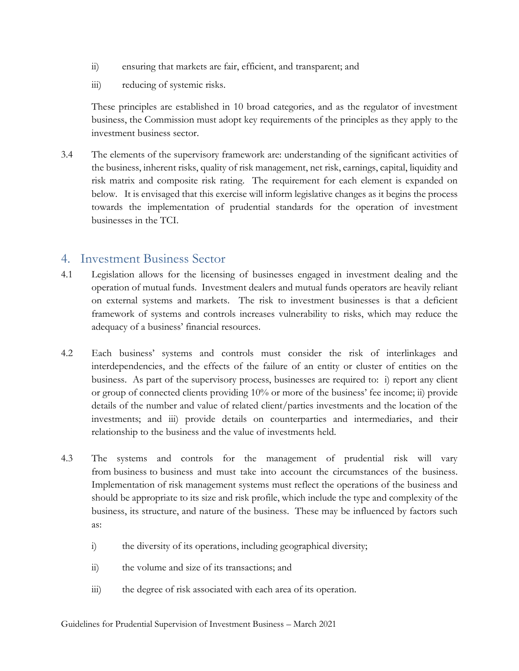- ii) ensuring that markets are fair, efficient, and transparent; and
- iii) reducing of systemic risks.

These principles are established in 10 broad categories, and as the regulator of investment business, the Commission must adopt key requirements of the principles as they apply to the investment business sector.

3.4 The elements of the supervisory framework are: understanding of the significant activities of the business, inherent risks, quality of risk management, net risk, earnings, capital, liquidity and risk matrix and composite risk rating. The requirement for each element is expanded on below. It is envisaged that this exercise will inform legislative changes as it begins the process towards the implementation of prudential standards for the operation of investment businesses in the TCI.

#### <span id="page-4-0"></span>4. Investment Business Sector

- 4.1 Legislation allows for the licensing of businesses engaged in investment dealing and the operation of mutual funds. Investment dealers and mutual funds operators are heavily reliant on external systems and markets. The risk to investment businesses is that a deficient framework of systems and controls increases vulnerability to risks, which may reduce the adequacy of a business' financial resources.
- 4.2 Each business' systems and controls must consider the risk of interlinkages and interdependencies, and the effects of the failure of an entity or cluster of entities on the business. As part of the supervisory process, businesses are required to: i) report any client or group of connected clients providing 10% or more of the business' fee income; ii) provide details of the number and value of related client/parties investments and the location of the investments; and iii) provide details on counterparties and intermediaries, and their relationship to the business and the value of investments held.
- 4.3 The systems and controls for the management of prudential risk will vary from [business](https://www.handbook.fca.org.uk/handbook/glossary/G430.html?date=2006-08-30) to [business](https://www.handbook.fca.org.uk/handbook/glossary/G430.html?date=2006-08-30) and must take into account the circumstances of the business. Implementation of risk management systems must reflect the operations of the business and should be appropriate to its size and risk profile, which include the type and complexity of the business, its structure, and nature of the business. These may be influenced by factors such as:
	- i) the diversity of its operations, including geographical diversity;
	- ii) the volume and size of its transactions; and
	- iii) the degree of risk associated with each area of its operation.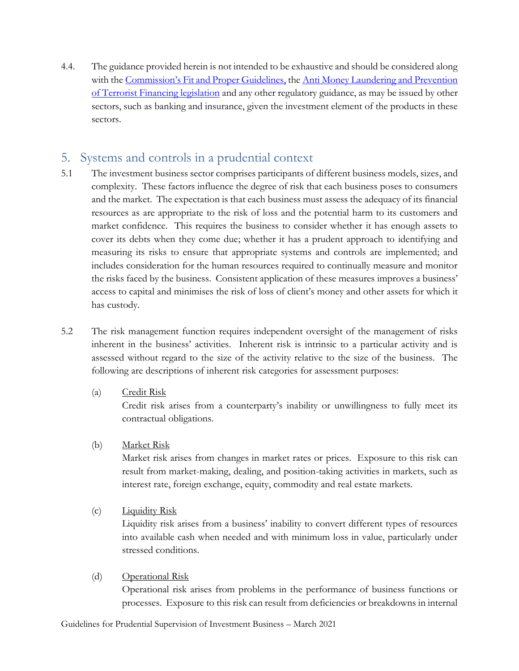4.4. The guidance provided herein is not intended to be exhaustive and should be considered along with the [Commission's Fit and Proper Guidelines](https://tcifsc.tc/wp-content/uploads/2020/04/Fit-and-Proper-Guidelines.pdf), the Anti Money Laundering and Prevention [of Terrorist Financing legislation](https://tcifsc.tc/wp-content/uploads/2019/02/Anti-Money-Laundering-and-Prevention-of-Terrorist-Financing-Regulations-2010.pdf) and any other regulatory guidance, as may be issued by other sectors, such as banking and insurance, given the investment element of the products in these sectors.

## <span id="page-5-0"></span>5. Systems and controls in a prudential context

- 5.1 The investment business sector comprises participants of different business models, sizes, and complexity. These factors influence the degree of risk that each business poses to consumers and the market. The expectation is that each business must assess the adequacy of its financial resources as are appropriate to the risk of loss and the potential harm to its customers and market confidence. This requires the business to consider whether it has enough assets to cover its debts when they come due; whether it has a prudent approach to identifying and measuring its risks to ensure that appropriate systems and controls are implemented; and includes consideration for the human resources required to continually measure and monitor the risks faced by the business. Consistent application of these measures improves a business' access to capital and minimises the risk of loss of client's money and other assets for which it has custody.
- 5.2 The risk management function requires independent oversight of the management of risks inherent in the business' activities. Inherent risk is intrinsic to a particular activity and is assessed without regard to the size of the activity relative to the size of the business. The following are descriptions of inherent risk categories for assessment purposes:
	- (a) Credit Risk

Credit risk arises from a counterparty's inability or unwillingness to fully meet its contractual obligations.

(b) Market Risk

Market risk arises from changes in market rates or prices. Exposure to this risk can result from market-making, dealing, and position-taking activities in markets, such as interest rate, foreign exchange, equity, commodity and real estate markets.

(c) Liquidity Risk

Liquidity risk arises from a business' inability to convert different types of resources into available cash when needed and with minimum loss in value, particularly under stressed conditions.

(d) Operational Risk

Operational risk arises from problems in the performance of business functions or processes. Exposure to this risk can result from deficiencies or breakdowns in internal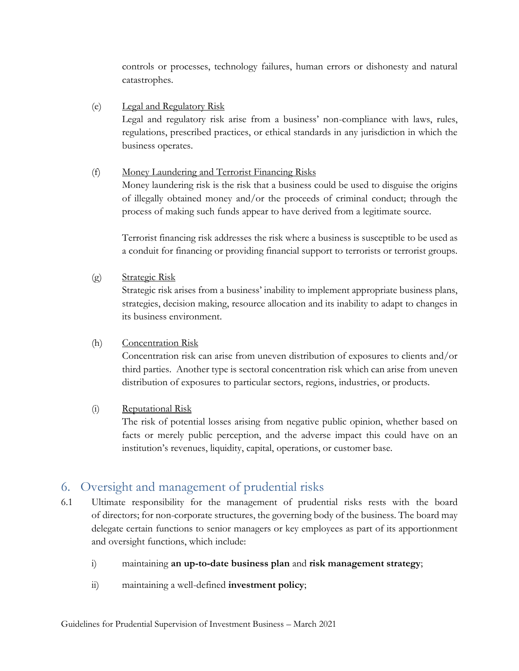controls or processes, technology failures, human errors or dishonesty and natural catastrophes.

(e) Legal and Regulatory Risk Legal and regulatory risk arise from a business' non-compliance with laws, rules, regulations, prescribed practices, or ethical standards in any jurisdiction in which the

#### (f) Money Laundering and Terrorist Financing Risks

Money laundering risk is the risk that a business could be used to disguise the origins of illegally obtained money and/or the proceeds of criminal conduct; through the process of making such funds appear to have derived from a legitimate source.

Terrorist financing risk addresses the risk where a business is susceptible to be used as a conduit for financing or providing financial support to terrorists or terrorist groups.

(g) Strategic Risk

business operates.

Strategic risk arises from a business' inability to implement appropriate business plans, strategies, decision making, resource allocation and its inability to adapt to changes in its business environment.

#### (h) Concentration Risk

Concentration risk can arise from uneven distribution of exposures to clients and/or third parties. Another type is sectoral concentration risk which can arise from uneven distribution of exposures to particular sectors, regions, industries, or products.

#### (i) Reputational Risk

The risk of potential losses arising from negative public opinion, whether based on facts or merely public perception, and the adverse impact this could have on an institution's revenues, liquidity, capital, operations, or customer base.

### <span id="page-6-0"></span>6. Oversight and management of prudential risks

- 6.1 Ultimate responsibility for the management of prudential risks rests with the board of directors; for non-corporate structures, the governing body of the business. The board may delegate certain functions to senior managers or key employees as part of its apportionment and oversight functions, which include:
	- i) maintaining **an up-to-date business plan** and **risk management strategy**;
	- ii) maintaining a well-defined **investment policy**;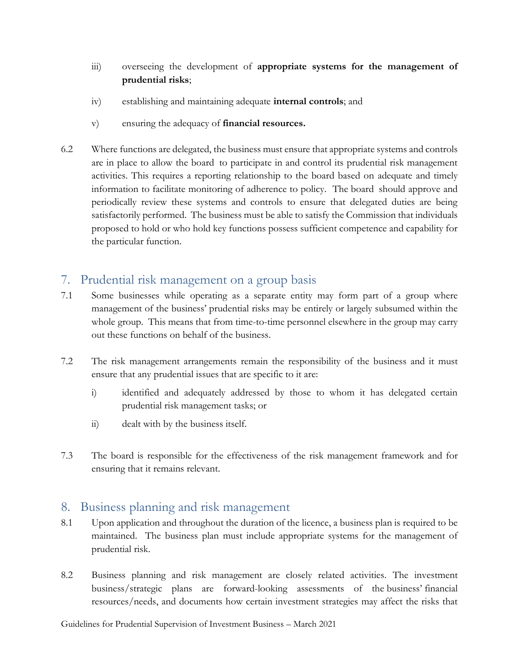- iii) overseeing the development of **appropriate systems for the management of prudential risks**;
- iv) establishing and maintaining adequate **internal controls**; and
- v) ensuring the adequacy of **financial resources.**
- 6.2 Where functions are delegated, the business must ensure that appropriate systems and controls are in place to allow the [board](https://www.handbook.fca.org.uk/handbook/glossary/G480.html?date=2006-08-30) to participate in and control its prudential risk management activities. This requires a reporting relationship to the board based on adequate and timely information to facilitate monitoring of adherence to policy. The [board](https://www.handbook.fca.org.uk/handbook/glossary/G480.html?date=2006-08-30) should approve and periodically review these systems and controls to ensure that delegated duties are being satisfactorily performed. The business must be able to satisfy the Commission that individuals proposed to hold or who hold key functions possess sufficient competence and capability for the particular function.

### <span id="page-7-0"></span>7. Prudential risk management on a group basis

- 7.1 Some businesses while operating as a separate entity may form part of a group where management of the business' prudential risks may be entirely or largely subsumed within the whole group. This means that from time-to-time personnel elsewhere in the group may carry out these functions on behalf of the business.
- 7.2 The risk management arrangements remain the responsibility of the business and it must ensure that any prudential issues that are specific to it are:
	- i) identified and adequately addressed by those to whom it has delegated certain prudential risk management tasks; or
	- ii) dealt with by the business itself.
- 7.3 The board is responsible for the effectiveness of the risk management framework and for ensuring that it remains relevant.

#### <span id="page-7-1"></span>8. Business planning and risk management

- 8.1 Upon application and throughout the duration of the licence, a business plan is required to be maintained. The business plan must include appropriate systems for the management of prudential risk.
- 8.2 Business planning and risk management are closely related activities. The investment business/strategic plans are forward-looking assessments of the business' financial resources/needs, and documents how certain investment strategies may affect the risks that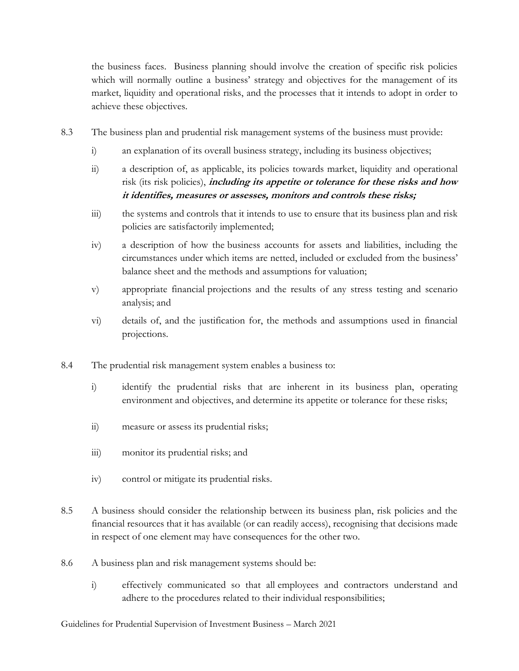the business faces. Business planning should involve the creation of specific risk policies which will normally outline a business' strategy and objectives for the management of its market, liquidity and operational risks, and the processes that it intends to adopt in order to achieve these objectives.

- 8.3 The business plan and prudential risk management systems of the business must provide:
	- i) an explanation of its overall business strategy, including its business objectives;
	- ii) a description of, as applicable, its policies towards market, liquidity and operational risk (its risk policies), **including its appetite or tolerance for these risks and how it identifies, measures or assesses, monitors and controls these risks;**
	- iii) the systems and controls that it intends to use to ensure that its business plan and risk policies are satisfactorily implemented;
	- iv) a description of how the business accounts for assets and liabilities, including the circumstances under which items are netted, included or excluded from the business' balance sheet and the methods and assumptions for valuation;
	- v) appropriate financial projections and the results of any stress testing and scenario analysis; and
	- vi) details of, and the justification for, the methods and assumptions used in financial projections.
- 8.4 The prudential risk management system enables a business to:
	- i) identify the prudential risks that are inherent in its business plan, operating environment and objectives, and determine its appetite or tolerance for these risks;
	- ii) measure or assess its prudential risks;
	- iii) monitor its prudential risks; and
	- iv) control or mitigate its prudential risks.
- 8.5 A business should consider the relationship between its business plan, risk policies and the financial resources that it has available (or can readily access), recognising that decisions made in respect of one element may have consequences for the other two.
- 8.6 A business plan and risk management systems should be:
	- i) effectively communicated so that all employees and contractors understand and adhere to the procedures related to their individual responsibilities;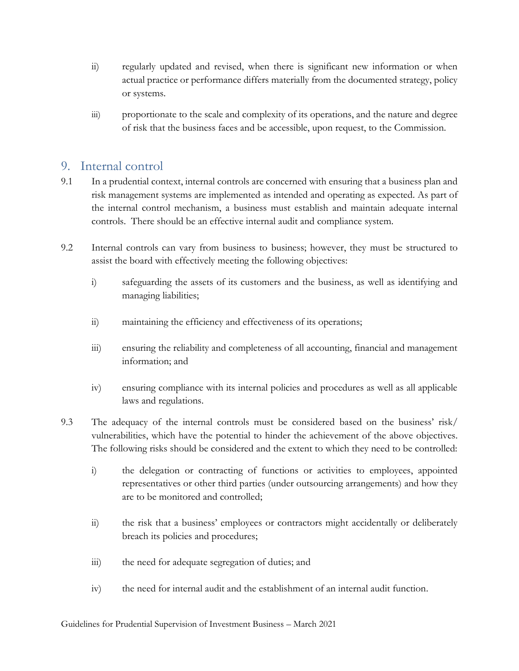- ii) regularly updated and revised, when there is significant new information or when actual practice or performance differs materially from the documented strategy, policy or systems.
- iii) proportionate to the scale and complexity of its operations, and the nature and degree of risk that the business faces and be accessible, upon request, to the Commission.

#### <span id="page-9-0"></span>9. Internal control

- 9.1 In a prudential context, internal controls are concerned with ensuring that a business plan and risk management systems are implemented as intended and operating as expected. As part of the internal control mechanism, a business must establish and maintain adequate internal controls. There should be an effective internal audit and compliance system.
- 9.2 Internal controls can vary from business to business; however, they must be structured to assist the board with effectively meeting the following objectives:
	- i) safeguarding the assets of its customers and the business, as well as identifying and managing liabilities;
	- ii) maintaining the efficiency and effectiveness of its operations;
	- iii) ensuring the reliability and completeness of all accounting, financial and management information; and
	- iv) ensuring compliance with its internal policies and procedures as well as all applicable laws and regulations.
- 9.3 The adequacy of the internal controls must be considered based on the business' risk/ vulnerabilities, which have the potential to hinder the achievement of the above objectives. The following risks should be considered and the extent to which they need to be controlled:
	- i) the delegation or contracting of functions or activities to employees, appointed representatives or other third parties (under outsourcing arrangements) and how they are to be monitored and controlled;
	- ii) the risk that a business' employees or contractors might accidentally or deliberately breach its policies and procedures;
	- iii) the need for adequate segregation of duties; and
	- iv) the need for internal audit and the establishment of an internal audit function.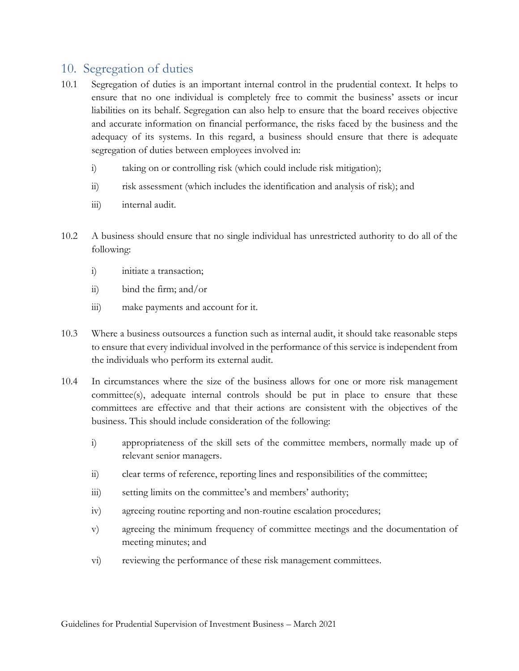### <span id="page-10-0"></span>10. Segregation of duties

- 10.1 Segregation of duties is an important internal control in the prudential context. It helps to ensure that no one individual is completely free to commit the business' assets or incur liabilities on its behalf. Segregation can also help to ensure that the board receives objective and accurate information on financial performance, the risks faced by the business and the adequacy of its systems. In this regard, a business should ensure that there is adequate segregation of duties between employees involved in:
	- i) taking on or controlling risk (which could include risk mitigation);
	- ii) risk assessment (which includes the identification and analysis of risk); and
	- iii) internal audit.
- 10.2 A business should ensure that no single individual has unrestricted authority to do all of the following:
	- i) initiate a transaction;
	- ii) bind the firm; and/or
	- iii) make payments and account for it.
- 10.3 Where a business outsources a function such as internal audit, it should take reasonable steps to ensure that every individual involved in the performance of this service is independent from the individuals who perform its external audit.
- 10.4 In circumstances where the size of the business allows for one or more risk management committee(s), adequate internal controls should be put in place to ensure that these committees are effective and that their actions are consistent with the objectives of the business. This should include consideration of the following:
	- i) appropriateness of the skill sets of the committee members, normally made up of relevant senior managers.
	- ii) clear terms of reference, reporting lines and responsibilities of the committee;
	- iii) setting limits on the committee's and members' authority;
	- iv) agreeing routine reporting and non-routine escalation procedures;
	- v) agreeing the minimum frequency of committee meetings and the documentation of meeting minutes; and
	- vi) reviewing the performance of these risk management committees.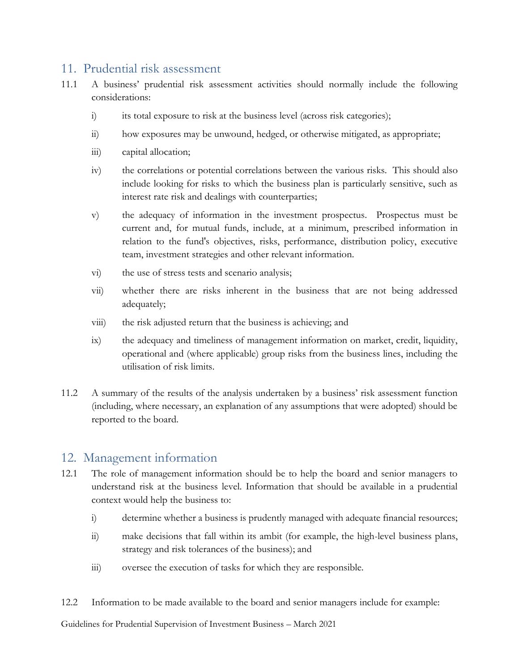#### <span id="page-11-0"></span>11. Prudential risk assessment

- 11.1 A business' prudential risk assessment activities should normally include the following considerations:
	- i) its total exposure to risk at the business level (across risk categories);
	- ii) how exposures may be unwound, hedged, or otherwise mitigated, as appropriate;
	- iii) capital allocation;
	- iv) the correlations or potential correlations between the various risks. This should also include looking for risks to which the business plan is particularly sensitive, such as interest rate risk and dealings with counterparties;
	- v) the adequacy of information in the investment prospectus. Prospectus must be current and, for mutual funds, include, at a minimum, prescribed information in relation to the fund's objectives, risks, performance, distribution policy, executive team, investment strategies and other relevant information.
	- vi) the use of stress tests and scenario analysis;
	- vii) whether there are risks inherent in the business that are not being addressed adequately;
	- viii) the risk adjusted return that the business is achieving; and
	- ix) the adequacy and timeliness of management information on market, credit, liquidity, operational and (where applicable) group risks from the business lines, including the utilisation of risk limits.
- 11.2 A summary of the results of the analysis undertaken by a business' risk assessment function (including, where necessary, an explanation of any assumptions that were adopted) should be reported to the board.

### <span id="page-11-1"></span>12. Management information

- 12.1 The role of management information should be to help the board and senior managers to understand risk at the business level. Information that should be available in a prudential context would help the business to:
	- i) determine whether a business is prudently managed with adequate financial resources;
	- ii) make decisions that fall within its ambit (for example, the high-level business plans, strategy and risk tolerances of the business); and
	- iii) oversee the execution of tasks for which they are responsible.
- 12.2 Information to be made available to the board and senior managers include for example:

Guidelines for Prudential Supervision of Investment Business – March 2021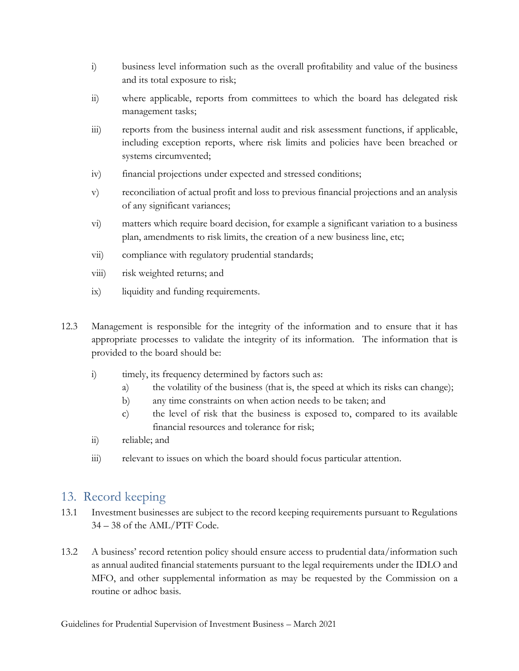- i) business level information such as the overall profitability and value of the business and its total exposure to risk;
- ii) where applicable, reports from committees to which the board has delegated risk management tasks;
- iii) reports from the business internal audit and risk assessment functions, if applicable, including exception reports, where risk limits and policies have been breached or systems circumvented;
- iv) financial projections under expected and stressed conditions;
- v) reconciliation of actual profit and loss to previous financial projections and an analysis of any significant variances;
- vi) matters which require board decision, for example a significant variation to a business plan, amendments to risk limits, the creation of a new business line, etc;
- vii) compliance with regulatory prudential standards;
- viii) risk weighted returns; and
- ix) liquidity and funding requirements.
- 12.3 Management is responsible for the integrity of the information and to ensure that it has appropriate processes to validate the integrity of its information. The information that is provided to the board should be:
	- i) timely, its frequency determined by factors such as:
		- a) the volatility of the business (that is, the speed at which its risks can change);
		- b) any time constraints on when action needs to be taken; and
		- c) the level of risk that the business is exposed to, compared to its available financial resources and tolerance for risk;
	- ii) reliable; and
	- iii) relevant to issues on which the board should focus particular attention.

### <span id="page-12-0"></span>13. Record keeping

- 13.1 Investment businesses are subject to the record keeping requirements pursuant to Regulations 34 – 38 of the AML/PTF Code.
- 13.2 A business' record retention policy should ensure access to prudential data/information such as annual audited financial statements pursuant to the legal requirements under the IDLO and MFO, and other supplemental information as may be requested by the Commission on a routine or adhoc basis.